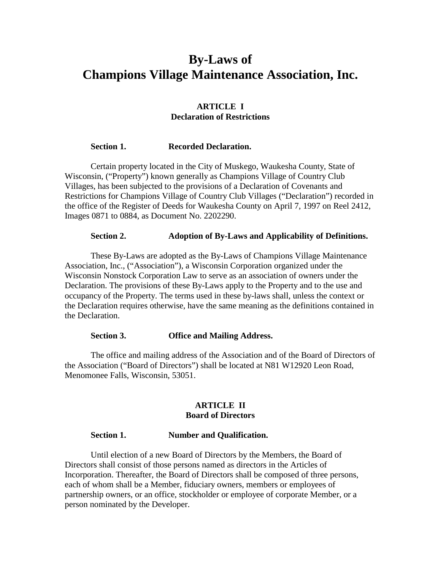# **By-Laws of Champions Village Maintenance Association, Inc.**

### **ARTICLE I Declaration of Restrictions**

#### **Section 1. Recorded Declaration.**

 Certain property located in the City of Muskego, Waukesha County, State of Wisconsin, ("Property") known generally as Champions Village of Country Club Villages, has been subjected to the provisions of a Declaration of Covenants and Restrictions for Champions Village of Country Club Villages ("Declaration") recorded in the office of the Register of Deeds for Waukesha County on April 7, 1997 on Reel 2412, Images 0871 to 0884, as Document No. 2202290.

#### **Section 2. Adoption of By-Laws and Applicability of Definitions.**

 These By-Laws are adopted as the By-Laws of Champions Village Maintenance Association, Inc., ("Association"), a Wisconsin Corporation organized under the Wisconsin Nonstock Corporation Law to serve as an association of owners under the Declaration. The provisions of these By-Laws apply to the Property and to the use and occupancy of the Property. The terms used in these by-laws shall, unless the context or the Declaration requires otherwise, have the same meaning as the definitions contained in the Declaration.

#### **Section 3. Office and Mailing Address.**

 The office and mailing address of the Association and of the Board of Directors of the Association ("Board of Directors") shall be located at N81 W12920 Leon Road, Menomonee Falls, Wisconsin, 53051.

#### **ARTICLE II Board of Directors**

#### **Section 1. Number and Qualification.**

 Until election of a new Board of Directors by the Members, the Board of Directors shall consist of those persons named as directors in the Articles of Incorporation. Thereafter, the Board of Directors shall be composed of three persons, each of whom shall be a Member, fiduciary owners, members or employees of partnership owners, or an office, stockholder or employee of corporate Member, or a person nominated by the Developer.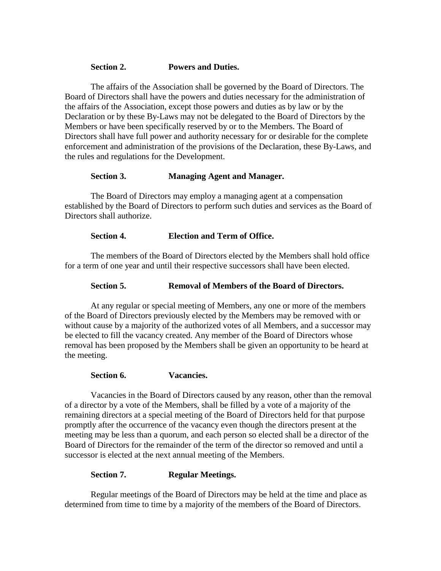### **Section 2. Powers and Duties.**

 The affairs of the Association shall be governed by the Board of Directors. The Board of Directors shall have the powers and duties necessary for the administration of the affairs of the Association, except those powers and duties as by law or by the Declaration or by these By-Laws may not be delegated to the Board of Directors by the Members or have been specifically reserved by or to the Members. The Board of Directors shall have full power and authority necessary for or desirable for the complete enforcement and administration of the provisions of the Declaration, these By-Laws, and the rules and regulations for the Development.

# **Section 3. Managing Agent and Manager.**

 The Board of Directors may employ a managing agent at a compensation established by the Board of Directors to perform such duties and services as the Board of Directors shall authorize.

# **Section 4. Election and Term of Office.**

The members of the Board of Directors elected by the Members shall hold office for a term of one year and until their respective successors shall have been elected.

# **Section 5. Removal of Members of the Board of Directors.**

At any regular or special meeting of Members, any one or more of the members of the Board of Directors previously elected by the Members may be removed with or without cause by a majority of the authorized votes of all Members, and a successor may be elected to fill the vacancy created. Any member of the Board of Directors whose removal has been proposed by the Members shall be given an opportunity to be heard at the meeting.

### **Section 6. Vacancies.**

Vacancies in the Board of Directors caused by any reason, other than the removal of a director by a vote of the Members, shall be filled by a vote of a majority of the remaining directors at a special meeting of the Board of Directors held for that purpose promptly after the occurrence of the vacancy even though the directors present at the meeting may be less than a quorum, and each person so elected shall be a director of the Board of Directors for the remainder of the term of the director so removed and until a successor is elected at the next annual meeting of the Members.

### **Section 7. Regular Meetings.**

Regular meetings of the Board of Directors may be held at the time and place as determined from time to time by a majority of the members of the Board of Directors.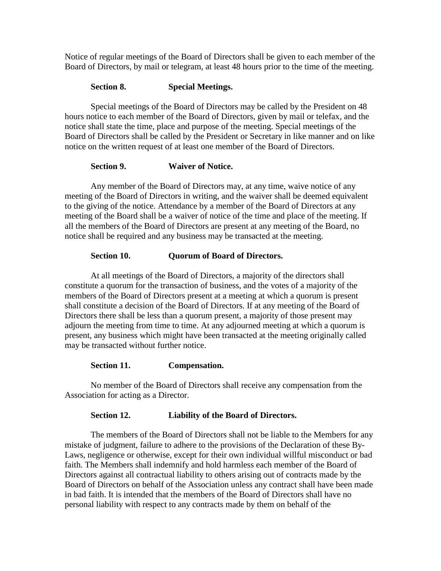Notice of regular meetings of the Board of Directors shall be given to each member of the Board of Directors, by mail or telegram, at least 48 hours prior to the time of the meeting.

# **Section 8. Special Meetings.**

Special meetings of the Board of Directors may be called by the President on 48 hours notice to each member of the Board of Directors, given by mail or telefax, and the notice shall state the time, place and purpose of the meeting. Special meetings of the Board of Directors shall be called by the President or Secretary in like manner and on like notice on the written request of at least one member of the Board of Directors.

# **Section 9. Waiver of Notice.**

Any member of the Board of Directors may, at any time, waive notice of any meeting of the Board of Directors in writing, and the waiver shall be deemed equivalent to the giving of the notice. Attendance by a member of the Board of Directors at any meeting of the Board shall be a waiver of notice of the time and place of the meeting. If all the members of the Board of Directors are present at any meeting of the Board, no notice shall be required and any business may be transacted at the meeting.

# **Section 10. Quorum of Board of Directors.**

At all meetings of the Board of Directors, a majority of the directors shall constitute a quorum for the transaction of business, and the votes of a majority of the members of the Board of Directors present at a meeting at which a quorum is present shall constitute a decision of the Board of Directors. If at any meeting of the Board of Directors there shall be less than a quorum present, a majority of those present may adjourn the meeting from time to time. At any adjourned meeting at which a quorum is present, any business which might have been transacted at the meeting originally called may be transacted without further notice.

### **Section 11. Compensation.**

No member of the Board of Directors shall receive any compensation from the Association for acting as a Director.

### **Section 12. Liability of the Board of Directors.**

The members of the Board of Directors shall not be liable to the Members for any mistake of judgment, failure to adhere to the provisions of the Declaration of these By-Laws, negligence or otherwise, except for their own individual willful misconduct or bad faith. The Members shall indemnify and hold harmless each member of the Board of Directors against all contractual liability to others arising out of contracts made by the Board of Directors on behalf of the Association unless any contract shall have been made in bad faith. It is intended that the members of the Board of Directors shall have no personal liability with respect to any contracts made by them on behalf of the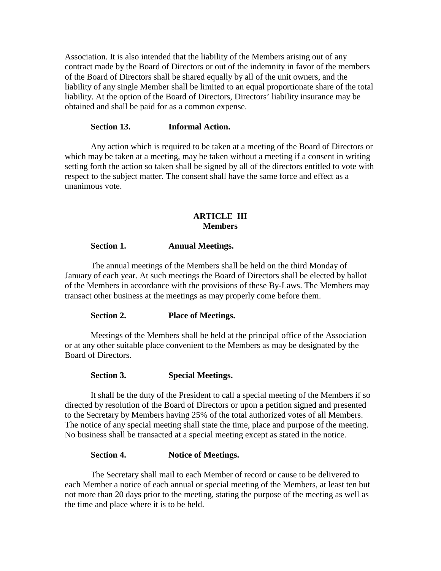Association. It is also intended that the liability of the Members arising out of any contract made by the Board of Directors or out of the indemnity in favor of the members of the Board of Directors shall be shared equally by all of the unit owners, and the liability of any single Member shall be limited to an equal proportionate share of the total liability. At the option of the Board of Directors, Directors' liability insurance may be obtained and shall be paid for as a common expense.

#### **Section 13. Informal Action.**

Any action which is required to be taken at a meeting of the Board of Directors or which may be taken at a meeting, may be taken without a meeting if a consent in writing setting forth the action so taken shall be signed by all of the directors entitled to vote with respect to the subject matter. The consent shall have the same force and effect as a unanimous vote.

### **ARTICLE III Members**

#### **Section 1. Annual Meetings.**

 The annual meetings of the Members shall be held on the third Monday of January of each year. At such meetings the Board of Directors shall be elected by ballot of the Members in accordance with the provisions of these By-Laws. The Members may transact other business at the meetings as may properly come before them.

#### **Section 2. Place of Meetings.**

Meetings of the Members shall be held at the principal office of the Association or at any other suitable place convenient to the Members as may be designated by the Board of Directors.

#### **Section 3. Special Meetings.**

It shall be the duty of the President to call a special meeting of the Members if so directed by resolution of the Board of Directors or upon a petition signed and presented to the Secretary by Members having 25% of the total authorized votes of all Members. The notice of any special meeting shall state the time, place and purpose of the meeting. No business shall be transacted at a special meeting except as stated in the notice.

#### **Section 4. Notice of Meetings.**

The Secretary shall mail to each Member of record or cause to be delivered to each Member a notice of each annual or special meeting of the Members, at least ten but not more than 20 days prior to the meeting, stating the purpose of the meeting as well as the time and place where it is to be held.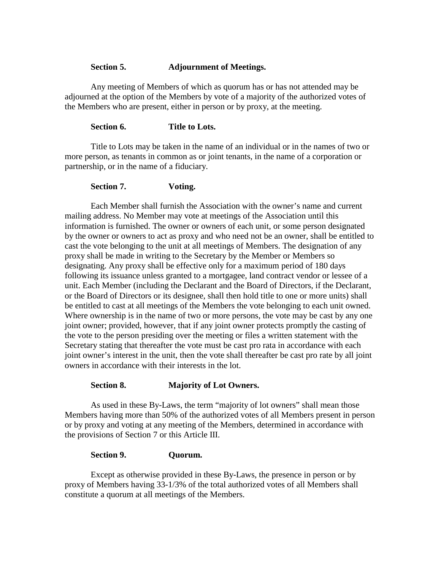### **Section 5. Adjournment of Meetings.**

Any meeting of Members of which as quorum has or has not attended may be adjourned at the option of the Members by vote of a majority of the authorized votes of the Members who are present, either in person or by proxy, at the meeting.

### **Section 6. Title to Lots.**

Title to Lots may be taken in the name of an individual or in the names of two or more person, as tenants in common as or joint tenants, in the name of a corporation or partnership, or in the name of a fiduciary.

### **Section 7. Voting.**

Each Member shall furnish the Association with the owner's name and current mailing address. No Member may vote at meetings of the Association until this information is furnished. The owner or owners of each unit, or some person designated by the owner or owners to act as proxy and who need not be an owner, shall be entitled to cast the vote belonging to the unit at all meetings of Members. The designation of any proxy shall be made in writing to the Secretary by the Member or Members so designating. Any proxy shall be effective only for a maximum period of 180 days following its issuance unless granted to a mortgagee, land contract vendor or lessee of a unit. Each Member (including the Declarant and the Board of Directors, if the Declarant, or the Board of Directors or its designee, shall then hold title to one or more units) shall be entitled to cast at all meetings of the Members the vote belonging to each unit owned. Where ownership is in the name of two or more persons, the vote may be cast by any one joint owner; provided, however, that if any joint owner protects promptly the casting of the vote to the person presiding over the meeting or files a written statement with the Secretary stating that thereafter the vote must be cast pro rata in accordance with each joint owner's interest in the unit, then the vote shall thereafter be cast pro rate by all joint owners in accordance with their interests in the lot.

### **Section 8. Majority of Lot Owners.**

As used in these By-Laws, the term "majority of lot owners" shall mean those Members having more than 50% of the authorized votes of all Members present in person or by proxy and voting at any meeting of the Members, determined in accordance with the provisions of Section 7 or this Article III.

#### **Section 9. Quorum.**

Except as otherwise provided in these By-Laws, the presence in person or by proxy of Members having 33-1/3% of the total authorized votes of all Members shall constitute a quorum at all meetings of the Members.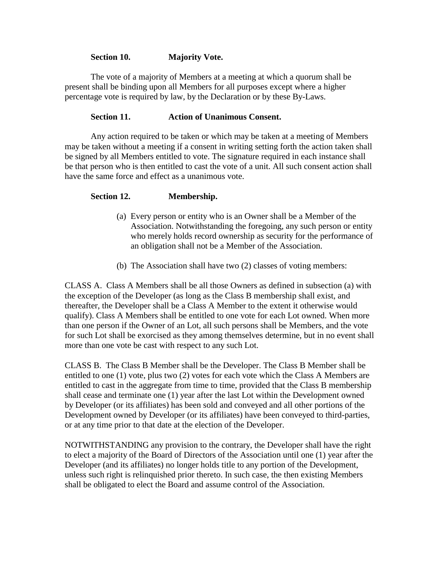### **Section 10. Majority Vote.**

The vote of a majority of Members at a meeting at which a quorum shall be present shall be binding upon all Members for all purposes except where a higher percentage vote is required by law, by the Declaration or by these By-Laws.

### **Section 11. Action of Unanimous Consent.**

Any action required to be taken or which may be taken at a meeting of Members may be taken without a meeting if a consent in writing setting forth the action taken shall be signed by all Members entitled to vote. The signature required in each instance shall be that person who is then entitled to cast the vote of a unit. All such consent action shall have the same force and effect as a unanimous vote.

# **Section 12. Membership.**

- (a) Every person or entity who is an Owner shall be a Member of the Association. Notwithstanding the foregoing, any such person or entity who merely holds record ownership as security for the performance of an obligation shall not be a Member of the Association.
- (b) The Association shall have two (2) classes of voting members:

CLASS A. Class A Members shall be all those Owners as defined in subsection (a) with the exception of the Developer (as long as the Class B membership shall exist, and thereafter, the Developer shall be a Class A Member to the extent it otherwise would qualify). Class A Members shall be entitled to one vote for each Lot owned. When more than one person if the Owner of an Lot, all such persons shall be Members, and the vote for such Lot shall be exorcised as they among themselves determine, but in no event shall more than one vote be cast with respect to any such Lot.

CLASS B. The Class B Member shall be the Developer. The Class B Member shall be entitled to one (1) vote, plus two (2) votes for each vote which the Class A Members are entitled to cast in the aggregate from time to time, provided that the Class B membership shall cease and terminate one (1) year after the last Lot within the Development owned by Developer (or its affiliates) has been sold and conveyed and all other portions of the Development owned by Developer (or its affiliates) have been conveyed to third-parties, or at any time prior to that date at the election of the Developer.

NOTWITHSTANDING any provision to the contrary, the Developer shall have the right to elect a majority of the Board of Directors of the Association until one (1) year after the Developer (and its affiliates) no longer holds title to any portion of the Development, unless such right is relinquished prior thereto. In such case, the then existing Members shall be obligated to elect the Board and assume control of the Association.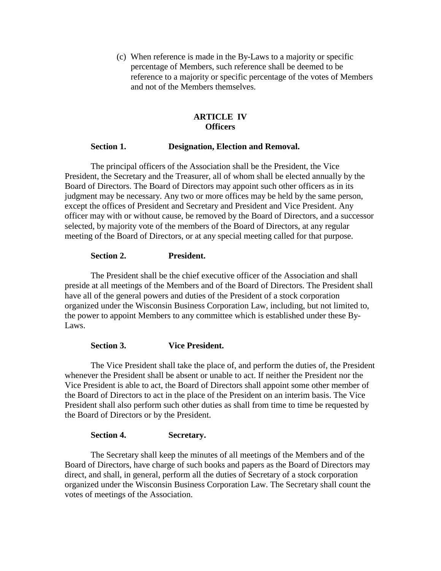(c) When reference is made in the By-Laws to a majority or specific percentage of Members, such reference shall be deemed to be reference to a majority or specific percentage of the votes of Members and not of the Members themselves.

# **ARTICLE IV Officers**

### **Section 1. Designation, Election and Removal.**

 The principal officers of the Association shall be the President, the Vice President, the Secretary and the Treasurer, all of whom shall be elected annually by the Board of Directors. The Board of Directors may appoint such other officers as in its judgment may be necessary. Any two or more offices may be held by the same person, except the offices of President and Secretary and President and Vice President. Any officer may with or without cause, be removed by the Board of Directors, and a successor selected, by majority vote of the members of the Board of Directors, at any regular meeting of the Board of Directors, or at any special meeting called for that purpose.

### **Section 2. President.**

The President shall be the chief executive officer of the Association and shall preside at all meetings of the Members and of the Board of Directors. The President shall have all of the general powers and duties of the President of a stock corporation organized under the Wisconsin Business Corporation Law, including, but not limited to, the power to appoint Members to any committee which is established under these By-Laws.

# **Section 3. Vice President.**

The Vice President shall take the place of, and perform the duties of, the President whenever the President shall be absent or unable to act. If neither the President nor the Vice President is able to act, the Board of Directors shall appoint some other member of the Board of Directors to act in the place of the President on an interim basis. The Vice President shall also perform such other duties as shall from time to time be requested by the Board of Directors or by the President.

### **Section 4. Secretary.**

The Secretary shall keep the minutes of all meetings of the Members and of the Board of Directors, have charge of such books and papers as the Board of Directors may direct, and shall, in general, perform all the duties of Secretary of a stock corporation organized under the Wisconsin Business Corporation Law. The Secretary shall count the votes of meetings of the Association.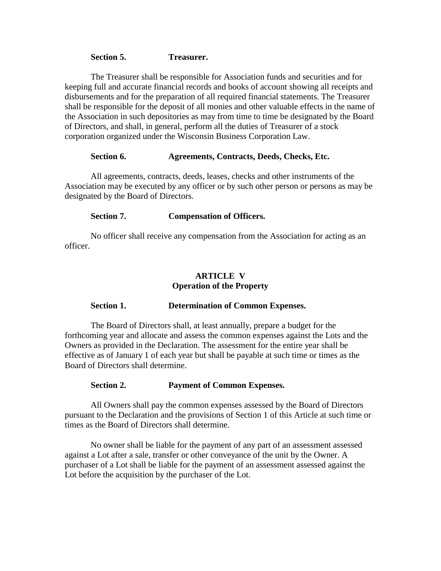#### **Section 5. Treasurer.**

The Treasurer shall be responsible for Association funds and securities and for keeping full and accurate financial records and books of account showing all receipts and disbursements and for the preparation of all required financial statements. The Treasurer shall be responsible for the deposit of all monies and other valuable effects in the name of the Association in such depositories as may from time to time be designated by the Board of Directors, and shall, in general, perform all the duties of Treasurer of a stock corporation organized under the Wisconsin Business Corporation Law.

#### **Section 6. Agreements, Contracts, Deeds, Checks, Etc.**

All agreements, contracts, deeds, leases, checks and other instruments of the Association may be executed by any officer or by such other person or persons as may be designated by the Board of Directors.

#### **Section 7. Compensation of Officers.**

No officer shall receive any compensation from the Association for acting as an officer.

### **ARTICLE V Operation of the Property**

#### **Section 1. Determination of Common Expenses.**

 The Board of Directors shall, at least annually, prepare a budget for the forthcoming year and allocate and assess the common expenses against the Lots and the Owners as provided in the Declaration. The assessment for the entire year shall be effective as of January 1 of each year but shall be payable at such time or times as the Board of Directors shall determine.

#### **Section 2. Payment of Common Expenses.**

All Owners shall pay the common expenses assessed by the Board of Directors pursuant to the Declaration and the provisions of Section 1 of this Article at such time or times as the Board of Directors shall determine.

 No owner shall be liable for the payment of any part of an assessment assessed against a Lot after a sale, transfer or other conveyance of the unit by the Owner. A purchaser of a Lot shall be liable for the payment of an assessment assessed against the Lot before the acquisition by the purchaser of the Lot.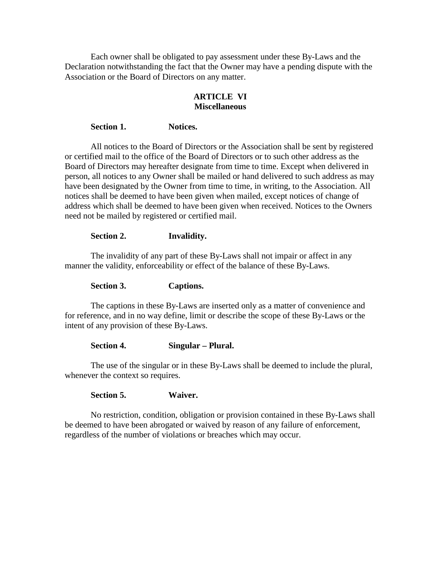Each owner shall be obligated to pay assessment under these By-Laws and the Declaration notwithstanding the fact that the Owner may have a pending dispute with the Association or the Board of Directors on any matter.

# **ARTICLE VI Miscellaneous**

### **Section 1. Notices.**

All notices to the Board of Directors or the Association shall be sent by registered or certified mail to the office of the Board of Directors or to such other address as the Board of Directors may hereafter designate from time to time. Except when delivered in person, all notices to any Owner shall be mailed or hand delivered to such address as may have been designated by the Owner from time to time, in writing, to the Association. All notices shall be deemed to have been given when mailed, except notices of change of address which shall be deemed to have been given when received. Notices to the Owners need not be mailed by registered or certified mail.

#### **Section 2. Invalidity.**

The invalidity of any part of these By-Laws shall not impair or affect in any manner the validity, enforceability or effect of the balance of these By-Laws.

**Section 3. Captions.** 

The captions in these By-Laws are inserted only as a matter of convenience and for reference, and in no way define, limit or describe the scope of these By-Laws or the intent of any provision of these By-Laws.

### **Section 4. Singular – Plural.**

The use of the singular or in these By-Laws shall be deemed to include the plural, whenever the context so requires.

 **Section 5. Waiver.** 

No restriction, condition, obligation or provision contained in these By-Laws shall be deemed to have been abrogated or waived by reason of any failure of enforcement, regardless of the number of violations or breaches which may occur.